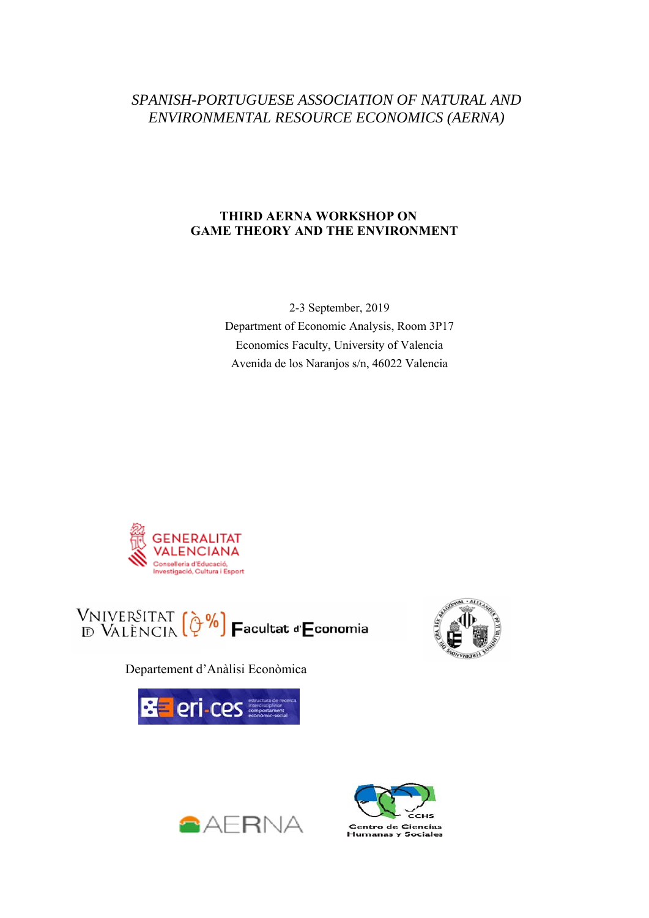# *SPANISH-PORTUGUESE ASSOCIATION OF NATURAL AND ENVIRONMENTAL RESOURCE ECONOMICS (AERNA)*

# **THIRD AERNA WORKSHOP ON GAME THEORY AND THE ENVIRONMENT**

2-3 September, 2019 Department of Economic Analysis, Room 3P17 Economics Faculty, University of Valencia Avenida de los Naranjos s/n, 46022 Valencia





Departement d'Anàlisi Econòmica







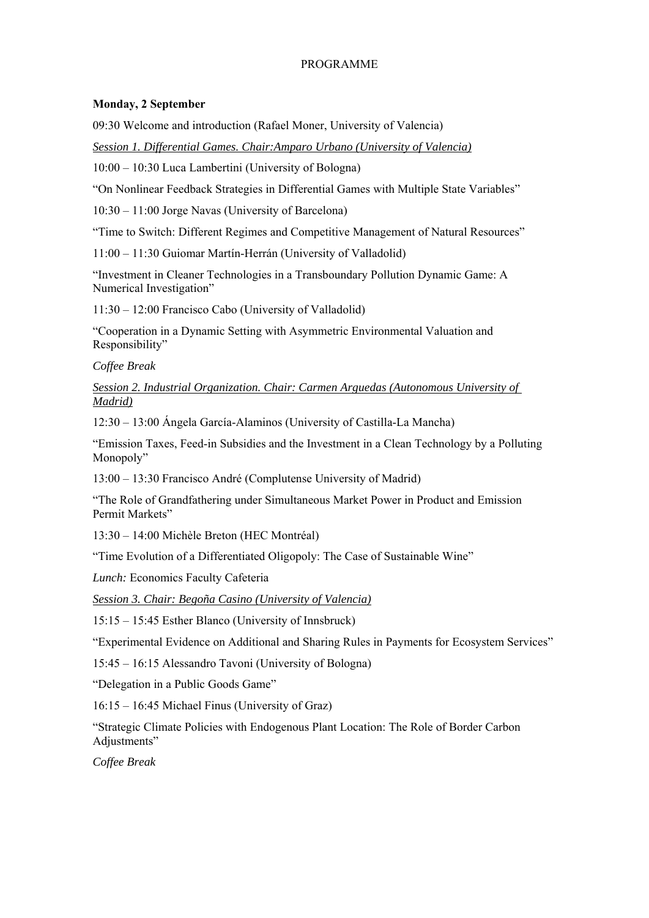# PROGRAMME

# **Monday, 2 September**

09:30 Welcome and introduction (Rafael Moner, University of Valencia)

*Session 1. Differential Games. Chair:Amparo Urbano (University of Valencia)* 

10:00 – 10:30 Luca Lambertini (University of Bologna)

"On Nonlinear Feedback Strategies in Differential Games with Multiple State Variables"

10:30 – 11:00 Jorge Navas (University of Barcelona)

"Time to Switch: Different Regimes and Competitive Management of Natural Resources"

11:00 – 11:30 Guiomar Martín-Herrán (University of Valladolid)

"Investment in Cleaner Technologies in a Transboundary Pollution Dynamic Game: A Numerical Investigation"

11:30 – 12:00 Francisco Cabo (University of Valladolid)

"Cooperation in a Dynamic Setting with Asymmetric Environmental Valuation and Responsibility"

*Coffee Break* 

*Session 2. Industrial Organization. Chair: Carmen Arguedas (Autonomous University of Madrid)* 

12:30 – 13:00 Ángela García-Alaminos (University of Castilla-La Mancha)

"Emission Taxes, Feed-in Subsidies and the Investment in a Clean Technology by a Polluting Monopoly"

13:00 – 13:30 Francisco André (Complutense University of Madrid)

"The Role of Grandfathering under Simultaneous Market Power in Product and Emission Permit Markets"

13:30 – 14:00 Michèle Breton (HEC Montréal)

"Time Evolution of a Differentiated Oligopoly: The Case of Sustainable Wine"

*Lunch:* Economics Faculty Cafeteria

*Session 3. Chair: Begoña Casino (University of Valencia)* 

15:15 – 15:45 Esther Blanco (University of Innsbruck)

"Experimental Evidence on Additional and Sharing Rules in Payments for Ecosystem Services"

15:45 – 16:15 Alessandro Tavoni (University of Bologna)

"Delegation in a Public Goods Game"

16:15 – 16:45 Michael Finus (University of Graz)

"Strategic Climate Policies with Endogenous Plant Location: The Role of Border Carbon Adjustments"

*Coffee Break*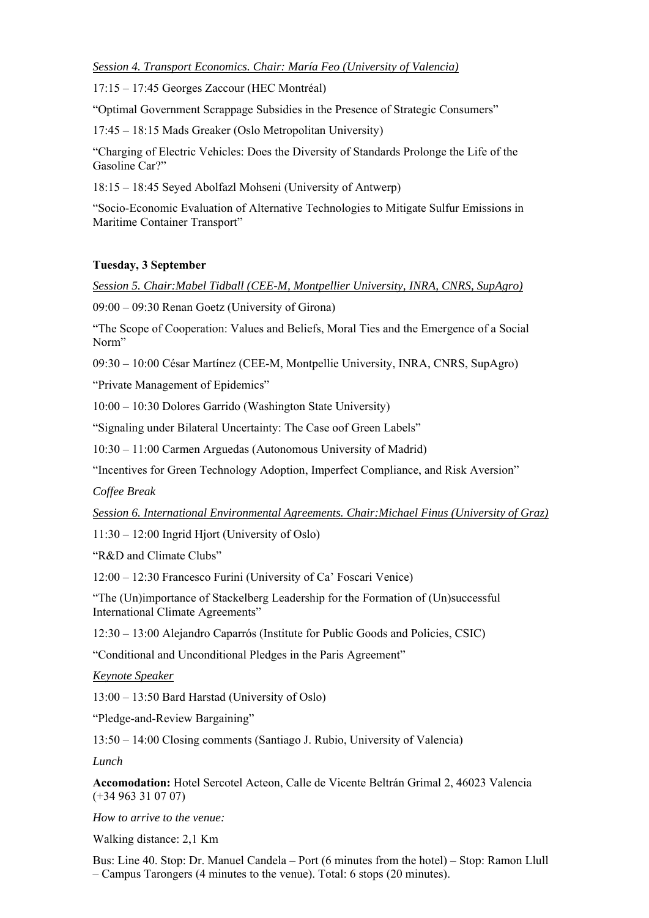*Session 4. Transport Economics. Chair: María Feo (University of Valencia)* 

17:15 – 17:45 Georges Zaccour (HEC Montréal)

"Optimal Government Scrappage Subsidies in the Presence of Strategic Consumers"

17:45 – 18:15 Mads Greaker (Oslo Metropolitan University)

"Charging of Electric Vehicles: Does the Diversity of Standards Prolonge the Life of the Gasoline Car?"

18:15 – 18:45 Seyed Abolfazl Mohseni (University of Antwerp)

"Socio-Economic Evaluation of Alternative Technologies to Mitigate Sulfur Emissions in Maritime Container Transport"

# **Tuesday, 3 September**

*Session 5. Chair:Mabel Tidball (CEE-M, Montpellier University, INRA, CNRS, SupAgro)* 

09:00 – 09:30 Renan Goetz (University of Girona)

"The Scope of Cooperation: Values and Beliefs, Moral Ties and the Emergence of a Social Norm"

09:30 – 10:00 César Martínez (CEE-M, Montpellie University, INRA, CNRS, SupAgro)

"Private Management of Epidemics"

10:00 – 10:30 Dolores Garrido (Washington State University)

"Signaling under Bilateral Uncertainty: The Case oof Green Labels"

10:30 – 11:00 Carmen Arguedas (Autonomous University of Madrid)

"Incentives for Green Technology Adoption, Imperfect Compliance, and Risk Aversion"

*Coffee Break* 

*Session 6. International Environmental Agreements. Chair:Michael Finus (University of Graz)* 

11:30 – 12:00 Ingrid Hjort (University of Oslo)

"R&D and Climate Clubs"

12:00 – 12:30 Francesco Furini (University of Ca' Foscari Venice)

"The (Un)importance of Stackelberg Leadership for the Formation of (Un)successful International Climate Agreements"

12:30 – 13:00 Alejandro Caparrós (Institute for Public Goods and Policies, CSIC)

"Conditional and Unconditional Pledges in the Paris Agreement"

*Keynote Speaker* 

13:00 – 13:50 Bard Harstad (University of Oslo)

"Pledge-and-Review Bargaining"

13:50 – 14:00 Closing comments (Santiago J. Rubio, University of Valencia)

*Lunch* 

**Accomodation:** Hotel Sercotel Acteon, Calle de Vicente Beltrán Grimal 2, 46023 Valencia (+34 963 31 07 07)

*How to arrive to the venue:* 

Walking distance: 2,1 Km

Bus: Line 40. Stop: Dr. Manuel Candela – Port (6 minutes from the hotel) – Stop: Ramon Llull – Campus Tarongers (4 minutes to the venue). Total: 6 stops (20 minutes).